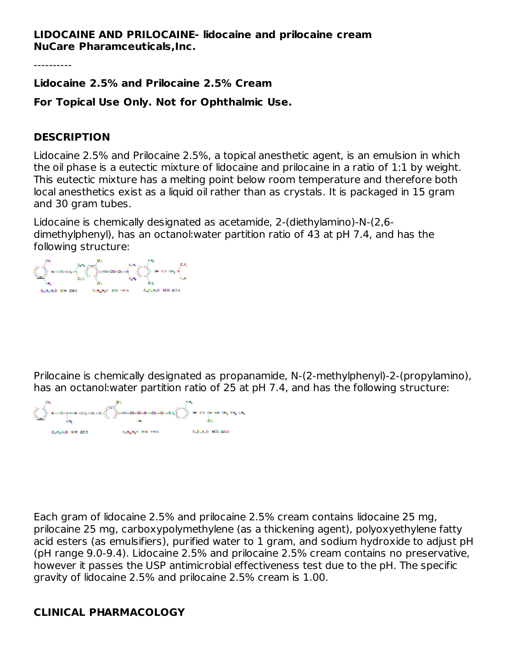#### **LIDOCAINE AND PRILOCAINE- lidocaine and prilocaine cream NuCare Pharamceuticals,Inc.**

----------

**Lidocaine 2.5% and Prilocaine 2.5% Cream**

**For Topical Use Only. Not for Ophthalmic Use.**

#### **DESCRIPTION**

Lidocaine 2.5% and Prilocaine 2.5%, a topical anesthetic agent, is an emulsion in which the oil phase is a eutectic mixture of lidocaine and prilocaine in a ratio of 1:1 by weight. This eutectic mixture has a melting point below room temperature and therefore both local anesthetics exist as a liquid oil rather than as crystals. It is packaged in 15 gram and 30 gram tubes.

Lidocaine is chemically designated as acetamide, 2-(diethylamino)-N-(2,6 dimethylphenyl), has an octanol:water partition ratio of 43 at pH 7.4, and has the following structure:

Prilocaine is chemically designated as propanamide, N-(2-methylphenyl)-2-(propylamino), has an octanol:water partition ratio of 25 at pH 7.4, and has the following structure:

Each gram of lidocaine 2.5% and prilocaine 2.5% cream contains lidocaine 25 mg, prilocaine 25 mg, carboxypolymethylene (as a thickening agent), polyoxyethylene fatty acid esters (as emulsifiers), purified water to 1 gram, and sodium hydroxide to adjust pH (pH range 9.0-9.4). Lidocaine 2.5% and prilocaine 2.5% cream contains no preservative, however it passes the USP antimicrobial effectiveness test due to the pH. The specific gravity of lidocaine 2.5% and prilocaine 2.5% cream is 1.00.

## **CLINICAL PHARMACOLOGY**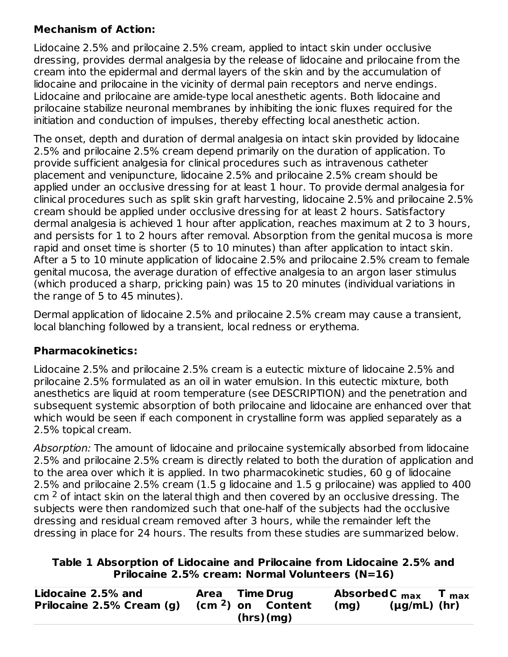## **Mechanism of Action:**

Lidocaine 2.5% and prilocaine 2.5% cream, applied to intact skin under occlusive dressing, provides dermal analgesia by the release of lidocaine and prilocaine from the cream into the epidermal and dermal layers of the skin and by the accumulation of lidocaine and prilocaine in the vicinity of dermal pain receptors and nerve endings. Lidocaine and prilocaine are amide-type local anesthetic agents. Both lidocaine and prilocaine stabilize neuronal membranes by inhibiting the ionic fluxes required for the initiation and conduction of impulses, thereby effecting local anesthetic action.

The onset, depth and duration of dermal analgesia on intact skin provided by lidocaine 2.5% and prilocaine 2.5% cream depend primarily on the duration of application. To provide sufficient analgesia for clinical procedures such as intravenous catheter placement and venipuncture, lidocaine 2.5% and prilocaine 2.5% cream should be applied under an occlusive dressing for at least 1 hour. To provide dermal analgesia for clinical procedures such as split skin graft harvesting, lidocaine 2.5% and prilocaine 2.5% cream should be applied under occlusive dressing for at least 2 hours. Satisfactory dermal analgesia is achieved 1 hour after application, reaches maximum at 2 to 3 hours, and persists for 1 to 2 hours after removal. Absorption from the genital mucosa is more rapid and onset time is shorter (5 to 10 minutes) than after application to intact skin. After a 5 to 10 minute application of lidocaine 2.5% and prilocaine 2.5% cream to female genital mucosa, the average duration of effective analgesia to an argon laser stimulus (which produced a sharp, pricking pain) was 15 to 20 minutes (individual variations in the range of 5 to 45 minutes).

Dermal application of lidocaine 2.5% and prilocaine 2.5% cream may cause a transient, local blanching followed by a transient, local redness or erythema.

## **Pharmacokinetics:**

Lidocaine 2.5% and prilocaine 2.5% cream is a eutectic mixture of lidocaine 2.5% and prilocaine 2.5% formulated as an oil in water emulsion. In this eutectic mixture, both anesthetics are liquid at room temperature (see DESCRIPTION) and the penetration and subsequent systemic absorption of both prilocaine and lidocaine are enhanced over that which would be seen if each component in crystalline form was applied separately as a 2.5% topical cream.

Absorption: The amount of lidocaine and prilocaine systemically absorbed from lidocaine 2.5% and prilocaine 2.5% cream is directly related to both the duration of application and to the area over which it is applied. In two pharmacokinetic studies, 60 g of lidocaine 2.5% and prilocaine 2.5% cream (1.5 g lidocaine and 1.5 g prilocaine) was applied to 400  $\textsf{cm}\,{}^2$  of intact skin on the lateral thigh and then covered by an occlusive dressing. The subjects were then randomized such that one-half of the subjects had the occlusive dressing and residual cream removed after 3 hours, while the remainder left the dressing in place for 24 hours. The results from these studies are summarized below.

#### **Table 1 Absorption of Lidocaine and Prilocaine from Lidocaine 2.5% and Prilocaine 2.5% cream: Normal Volunteers (N=16)**

| Lidocaine 2.5% and        | Area Time Drug |  |                               |      | Absorbed $C_{\text{max}}$ | $T_{max}$ |
|---------------------------|----------------|--|-------------------------------|------|---------------------------|-----------|
| Prilocaine 2.5% Cream (g) |                |  | (cm <sup>2</sup> ) on Content | (mq) | $(\mu g/mL)$ (hr)         |           |
| (hrs)(mq)                 |                |  |                               |      |                           |           |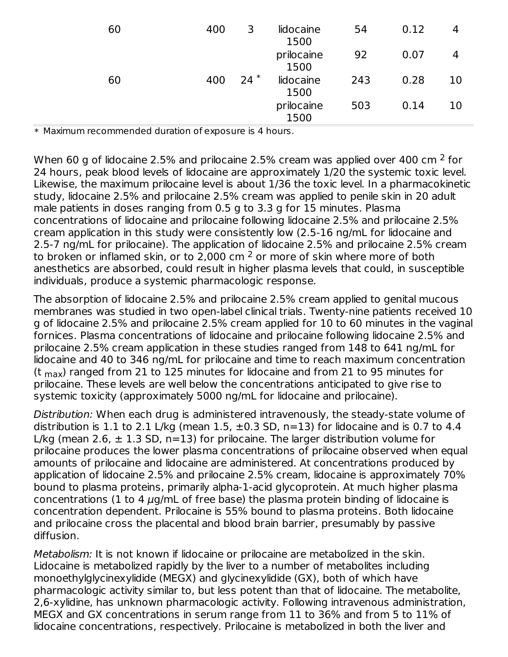| 60 | 400 | 3     | lidocaine<br>1500  | 54  | 0.12 | 4  |
|----|-----|-------|--------------------|-----|------|----|
|    |     |       | prilocaine<br>1500 | 92  | 0.07 | 4  |
| 60 | 400 | $24*$ | lidocaine<br>1500  | 243 | 0.28 | 10 |
|    |     |       | prilocaine<br>1500 | 503 | 0.14 | 10 |

\* Maximum recommended duration of exposure is 4 hours.

When 60 g of lidocaine 2.5% and prilocaine 2.5% cream was applied over 400 cm  $^2$  for 24 hours, peak blood levels of lidocaine are approximately 1/20 the systemic toxic level. Likewise, the maximum prilocaine level is about 1/36 the toxic level. In a pharmacokinetic study, lidocaine 2.5% and prilocaine 2.5% cream was applied to penile skin in 20 adult male patients in doses ranging from 0.5 g to 3.3 g for 15 minutes. Plasma concentrations of lidocaine and prilocaine following lidocaine 2.5% and prilocaine 2.5% cream application in this study were consistently low (2.5-16 ng/mL for lidocaine and 2.5-7 ng/mL for prilocaine). The application of lidocaine 2.5% and prilocaine 2.5% cream to broken or inflamed skin, or to 2,000 cm  $^2$  or more of skin where more of both anesthetics are absorbed, could result in higher plasma levels that could, in susceptible individuals, produce a systemic pharmacologic response.

The absorption of lidocaine 2.5% and prilocaine 2.5% cream applied to genital mucous membranes was studied in two open-label clinical trials. Twenty-nine patients received 10 g of lidocaine 2.5% and prilocaine 2.5% cream applied for 10 to 60 minutes in the vaginal fornices. Plasma concentrations of lidocaine and prilocaine following lidocaine 2.5% and prilocaine 2.5% cream application in these studies ranged from 148 to 641 ng/mL for lidocaine and 40 to 346 ng/mL for prilocaine and time to reach maximum concentration (t  $_{\sf max}$ ) ranged from 21 to 125 minutes for lidocaine and from 21 to 95 minutes for prilocaine. These levels are well below the concentrations anticipated to give rise to systemic toxicity (approximately 5000 ng/mL for lidocaine and prilocaine).

Distribution: When each drug is administered intravenously, the steady-state volume of distribution is 1.1 to 2.1 L/kg (mean 1.5,  $\pm$ 0.3 SD, n=13) for lidocaine and is 0.7 to 4.4 L/kg (mean 2.6,  $\pm$  1.3 SD, n=13) for prilocaine. The larger distribution volume for prilocaine produces the lower plasma concentrations of prilocaine observed when equal amounts of prilocaine and lidocaine are administered. At concentrations produced by application of lidocaine 2.5% and prilocaine 2.5% cream, lidocaine is approximately 70% bound to plasma proteins, primarily alpha-1-acid glycoprotein. At much higher plasma concentrations (1 to 4  $\mu$ g/mL of free base) the plasma protein binding of lidocaine is concentration dependent. Prilocaine is 55% bound to plasma proteins. Both lidocaine and prilocaine cross the placental and blood brain barrier, presumably by passive diffusion.

Metabolism: It is not known if lidocaine or prilocaine are metabolized in the skin. Lidocaine is metabolized rapidly by the liver to a number of metabolites including monoethylglycinexylidide (MEGX) and glycinexylidide (GX), both of which have pharmacologic activity similar to, but less potent than that of lidocaine. The metabolite, 2,6-xylidine, has unknown pharmacologic activity. Following intravenous administration, MEGX and GX concentrations in serum range from 11 to 36% and from 5 to 11% of lidocaine concentrations, respectively. Prilocaine is metabolized in both the liver and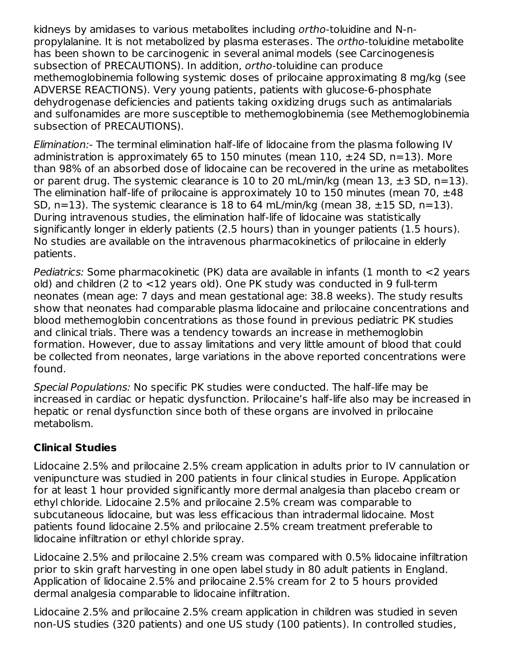kidneys by amidases to various metabolites including ortho-toluidine and N-npropylalanine. It is not metabolized by plasma esterases. The ortho-toluidine metabolite has been shown to be carcinogenic in several animal models (see Carcinogenesis subsection of PRECAUTIONS). In addition, ortho-toluidine can produce methemoglobinemia following systemic doses of prilocaine approximating 8 mg/kg (see ADVERSE REACTIONS). Very young patients, patients with glucose-6-phosphate dehydrogenase deficiencies and patients taking oxidizing drugs such as antimalarials and sulfonamides are more susceptible to methemoglobinemia (see Methemoglobinemia subsection of PRECAUTIONS).

Elimination:- The terminal elimination half-life of lidocaine from the plasma following IV administration is approximately 65 to 150 minutes (mean 110,  $\pm$ 24 SD, n=13). More than 98% of an absorbed dose of lidocaine can be recovered in the urine as metabolites or parent drug. The systemic clearance is 10 to 20 mL/min/kg (mean 13,  $\pm 3$  SD, n=13). The elimination half-life of prilocaine is approximately 10 to 150 minutes (mean 70,  $\pm$ 48 SD,  $n=13$ ). The systemic clearance is 18 to 64 mL/min/kg (mean 38,  $\pm 15$  SD,  $n=13$ ). During intravenous studies, the elimination half-life of lidocaine was statistically significantly longer in elderly patients (2.5 hours) than in younger patients (1.5 hours). No studies are available on the intravenous pharmacokinetics of prilocaine in elderly patients.

Pediatrics: Some pharmacokinetic (PK) data are available in infants (1 month to <2 years old) and children (2 to <12 years old). One PK study was conducted in 9 full-term neonates (mean age: 7 days and mean gestational age: 38.8 weeks). The study results show that neonates had comparable plasma lidocaine and prilocaine concentrations and blood methemoglobin concentrations as those found in previous pediatric PK studies and clinical trials. There was a tendency towards an increase in methemoglobin formation. However, due to assay limitations and very little amount of blood that could be collected from neonates, large variations in the above reported concentrations were found.

Special Populations: No specific PK studies were conducted. The half-life may be increased in cardiac or hepatic dysfunction. Prilocaine's half-life also may be increased in hepatic or renal dysfunction since both of these organs are involved in prilocaine metabolism.

## **Clinical Studies**

Lidocaine 2.5% and prilocaine 2.5% cream application in adults prior to IV cannulation or venipuncture was studied in 200 patients in four clinical studies in Europe. Application for at least 1 hour provided significantly more dermal analgesia than placebo cream or ethyl chloride. Lidocaine 2.5% and prilocaine 2.5% cream was comparable to subcutaneous lidocaine, but was less efficacious than intradermal lidocaine. Most patients found lidocaine 2.5% and prilocaine 2.5% cream treatment preferable to lidocaine infiltration or ethyl chloride spray.

Lidocaine 2.5% and prilocaine 2.5% cream was compared with 0.5% lidocaine infiltration prior to skin graft harvesting in one open label study in 80 adult patients in England. Application of lidocaine 2.5% and prilocaine 2.5% cream for 2 to 5 hours provided dermal analgesia comparable to lidocaine infiltration.

Lidocaine 2.5% and prilocaine 2.5% cream application in children was studied in seven non-US studies (320 patients) and one US study (100 patients). In controlled studies,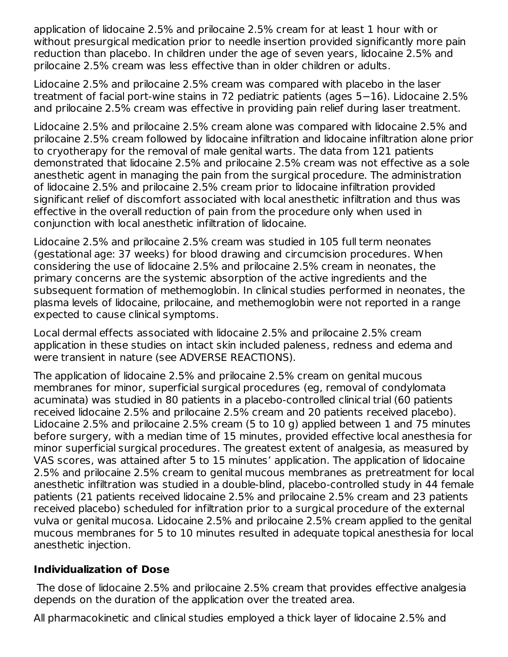application of lidocaine 2.5% and prilocaine 2.5% cream for at least 1 hour with or without presurgical medication prior to needle insertion provided significantly more pain reduction than placebo. In children under the age of seven years, lidocaine 2.5% and prilocaine 2.5% cream was less effective than in older children or adults.

Lidocaine 2.5% and prilocaine 2.5% cream was compared with placebo in the laser treatment of facial port-wine stains in 72 pediatric patients (ages 5−16). Lidocaine 2.5% and prilocaine 2.5% cream was effective in providing pain relief during laser treatment.

Lidocaine 2.5% and prilocaine 2.5% cream alone was compared with lidocaine 2.5% and prilocaine 2.5% cream followed by lidocaine infiltration and lidocaine infiltration alone prior to cryotherapy for the removal of male genital warts. The data from 121 patients demonstrated that lidocaine 2.5% and prilocaine 2.5% cream was not effective as a sole anesthetic agent in managing the pain from the surgical procedure. The administration of lidocaine 2.5% and prilocaine 2.5% cream prior to lidocaine infiltration provided significant relief of discomfort associated with local anesthetic infiltration and thus was effective in the overall reduction of pain from the procedure only when used in conjunction with local anesthetic infiltration of lidocaine.

Lidocaine 2.5% and prilocaine 2.5% cream was studied in 105 full term neonates (gestational age: 37 weeks) for blood drawing and circumcision procedures. When considering the use of lidocaine 2.5% and prilocaine 2.5% cream in neonates, the primary concerns are the systemic absorption of the active ingredients and the subsequent formation of methemoglobin. In clinical studies performed in neonates, the plasma levels of lidocaine, prilocaine, and methemoglobin were not reported in a range expected to cause clinical symptoms.

Local dermal effects associated with lidocaine 2.5% and prilocaine 2.5% cream application in these studies on intact skin included paleness, redness and edema and were transient in nature (see ADVERSE REACTIONS).

The application of lidocaine 2.5% and prilocaine 2.5% cream on genital mucous membranes for minor, superficial surgical procedures (eg, removal of condylomata acuminata) was studied in 80 patients in a placebo-controlled clinical trial (60 patients received lidocaine 2.5% and prilocaine 2.5% cream and 20 patients received placebo). Lidocaine 2.5% and prilocaine 2.5% cream (5 to 10 g) applied between 1 and 75 minutes before surgery, with a median time of 15 minutes, provided effective local anesthesia for minor superficial surgical procedures. The greatest extent of analgesia, as measured by VAS scores, was attained after 5 to 15 minutes' application. The application of lidocaine 2.5% and prilocaine 2.5% cream to genital mucous membranes as pretreatment for local anesthetic infiltration was studied in a double-blind, placebo-controlled study in 44 female patients (21 patients received lidocaine 2.5% and prilocaine 2.5% cream and 23 patients received placebo) scheduled for infiltration prior to a surgical procedure of the external vulva or genital mucosa. Lidocaine 2.5% and prilocaine 2.5% cream applied to the genital mucous membranes for 5 to 10 minutes resulted in adequate topical anesthesia for local anesthetic injection.

#### **Individualization of Dose**

The dose of lidocaine 2.5% and prilocaine 2.5% cream that provides effective analgesia depends on the duration of the application over the treated area.

All pharmacokinetic and clinical studies employed a thick layer of lidocaine 2.5% and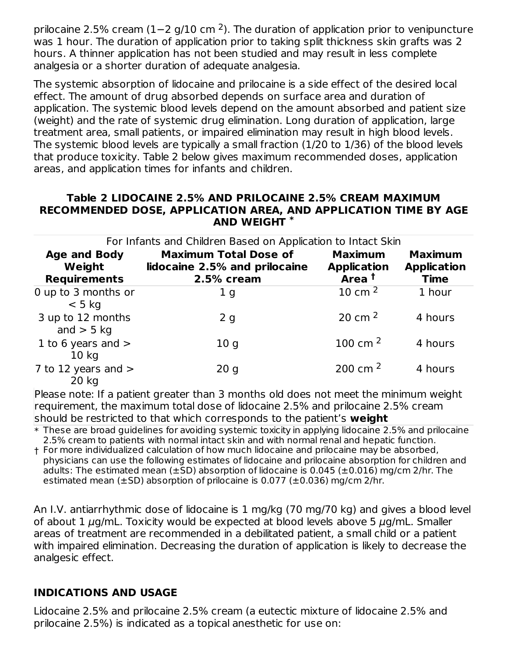prilocaine 2.5% cream (1–2 g/10 cm <sup>2</sup>). The duration of application prior to venipuncture was 1 hour. The duration of application prior to taking split thickness skin grafts was 2 hours. A thinner application has not been studied and may result in less complete analgesia or a shorter duration of adequate analgesia.

The systemic absorption of lidocaine and prilocaine is a side effect of the desired local effect. The amount of drug absorbed depends on surface area and duration of application. The systemic blood levels depend on the amount absorbed and patient size (weight) and the rate of systemic drug elimination. Long duration of application, large treatment area, small patients, or impaired elimination may result in high blood levels. The systemic blood levels are typically a small fraction (1/20 to 1/36) of the blood levels that produce toxicity. Table 2 below gives maximum recommended doses, application areas, and application times for infants and children.

#### **Table 2 LIDOCAINE 2.5% AND PRILOCAINE 2.5% CREAM MAXIMUM RECOMMENDED DOSE, APPLICATION AREA, AND APPLICATION TIME BY AGE AND WEIGHT \***

| For Infants and Children Based on Application to Intact Skin |                                                                             |                                                           |                                                     |  |  |  |
|--------------------------------------------------------------|-----------------------------------------------------------------------------|-----------------------------------------------------------|-----------------------------------------------------|--|--|--|
| <b>Age and Body</b><br>Weight<br><b>Requirements</b>         | <b>Maximum Total Dose of</b><br>lidocaine 2.5% and prilocaine<br>2.5% cream | <b>Maximum</b><br><b>Application</b><br>Area <sup>t</sup> | <b>Maximum</b><br><b>Application</b><br><b>Time</b> |  |  |  |
| 0 up to 3 months or<br>$< 5$ kg                              | 1 <sub>g</sub>                                                              | 10 cm $^2$                                                | 1 hour                                              |  |  |  |
| 3 up to 12 months<br>and $>$ 5 kg                            | 2g                                                                          | 20 cm $^2$                                                | 4 hours                                             |  |  |  |
| 1 to 6 years and $>$<br>10 <sub>kg</sub>                     | 10 <sub>q</sub>                                                             | 100 cm $^2$                                               | 4 hours                                             |  |  |  |
| 7 to 12 years and $>$<br>20 kg                               | 20q                                                                         | 200 cm $2$                                                | 4 hours                                             |  |  |  |

Please note: If a patient greater than 3 months old does not meet the minimum weight  $\,$ requirement, the maximum total dose of lidocaine 2.5% and prilocaine 2.5% cream should be restricted to that which corresponds to the patient's **weight**

 $\ast$  These are broad guidelines for avoiding systemic toxicity in applying lidocaine 2.5% and prilocaine 2.5% cream to patients with normal intact skin and with normal renal and hepatic function.

† For more individualized calculation of how much lidocaine and prilocaine may be absorbed, physicians can use the following estimates of lidocaine and prilocaine absorption for children and adults: The estimated mean ( $\pm$ SD) absorption of lidocaine is 0.045 ( $\pm$ 0.016) mg/cm 2/hr. The estimated mean  $(\pm SD)$  absorption of prilocaine is 0.077 ( $\pm$ 0.036) mg/cm 2/hr.

An I.V. antiarrhythmic dose of lidocaine is 1 mg/kg (70 mg/70 kg) and gives a blood level of about 1  $\mu$ g/mL. Toxicity would be expected at blood levels above 5  $\mu$ g/mL. Smaller areas of treatment are recommended in a debilitated patient, a small child or a patient with impaired elimination. Decreasing the duration of application is likely to decrease the analgesic effect.

## **INDICATIONS AND USAGE**

Lidocaine 2.5% and prilocaine 2.5% cream (a eutectic mixture of lidocaine 2.5% and prilocaine 2.5%) is indicated as a topical anesthetic for use on: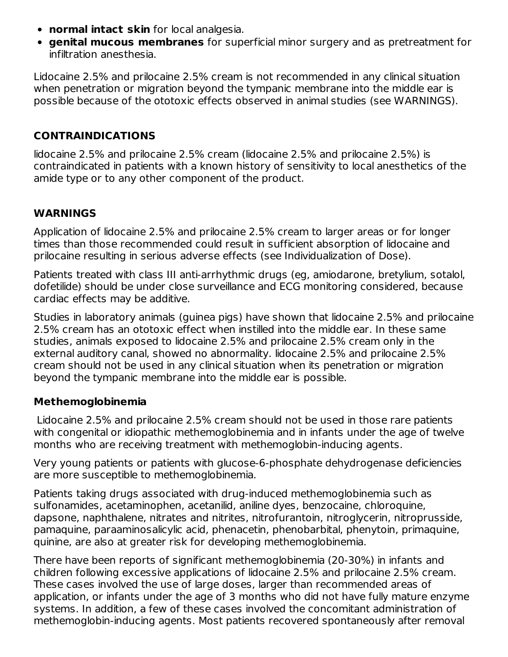- **normal intact skin** for local analgesia.
- **genital mucous membranes** for superficial minor surgery and as pretreatment for infiltration anesthesia.

Lidocaine 2.5% and prilocaine 2.5% cream is not recommended in any clinical situation when penetration or migration beyond the tympanic membrane into the middle ear is possible because of the ototoxic effects observed in animal studies (see WARNINGS).

## **CONTRAINDICATIONS**

lidocaine 2.5% and prilocaine 2.5% cream (lidocaine 2.5% and prilocaine 2.5%) is contraindicated in patients with a known history of sensitivity to local anesthetics of the amide type or to any other component of the product.

### **WARNINGS**

Application of lidocaine 2.5% and prilocaine 2.5% cream to larger areas or for longer times than those recommended could result in sufficient absorption of lidocaine and prilocaine resulting in serious adverse effects (see Individualization of Dose).

Patients treated with class III anti-arrhythmic drugs (eg, amiodarone, bretylium, sotalol, dofetilide) should be under close surveillance and ECG monitoring considered, because cardiac effects may be additive.

Studies in laboratory animals (guinea pigs) have shown that lidocaine 2.5% and prilocaine 2.5% cream has an ototoxic effect when instilled into the middle ear. In these same studies, animals exposed to lidocaine 2.5% and prilocaine 2.5% cream only in the external auditory canal, showed no abnormality. lidocaine 2.5% and prilocaine 2.5% cream should not be used in any clinical situation when its penetration or migration beyond the tympanic membrane into the middle ear is possible.

#### **Methemoglobinemia**

Lidocaine 2.5% and prilocaine 2.5% cream should not be used in those rare patients with congenital or idiopathic methemoglobinemia and in infants under the age of twelve months who are receiving treatment with methemoglobin-inducing agents.

Very young patients or patients with glucose-6-phosphate dehydrogenase deficiencies are more susceptible to methemoglobinemia.

Patients taking drugs associated with drug-induced methemoglobinemia such as sulfonamides, acetaminophen, acetanilid, aniline dyes, benzocaine, chloroquine, dapsone, naphthalene, nitrates and nitrites, nitrofurantoin, nitroglycerin, nitroprusside, pamaquine, paraaminosalicylic acid, phenacetin, phenobarbital, phenytoin, primaquine, quinine, are also at greater risk for developing methemoglobinemia.

There have been reports of significant methemoglobinemia (20-30%) in infants and children following excessive applications of lidocaine 2.5% and prilocaine 2.5% cream. These cases involved the use of large doses, larger than recommended areas of application, or infants under the age of 3 months who did not have fully mature enzyme systems. In addition, a few of these cases involved the concomitant administration of methemoglobin-inducing agents. Most patients recovered spontaneously after removal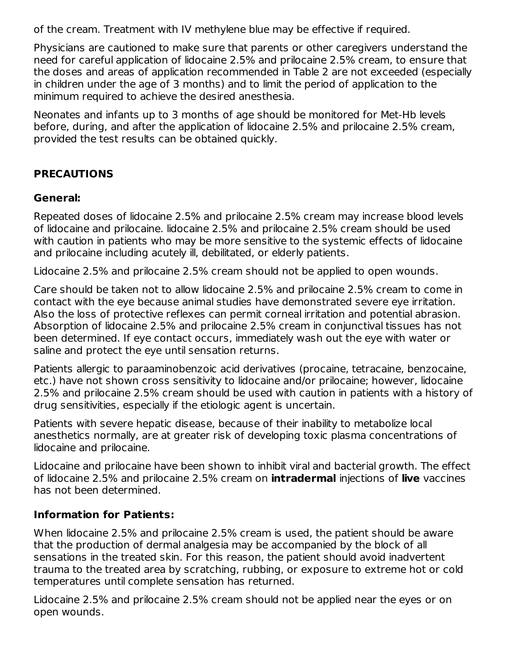of the cream. Treatment with IV methylene blue may be effective if required.

Physicians are cautioned to make sure that parents or other caregivers understand the need for careful application of lidocaine 2.5% and prilocaine 2.5% cream, to ensure that the doses and areas of application recommended in Table 2 are not exceeded (especially in children under the age of 3 months) and to limit the period of application to the minimum required to achieve the desired anesthesia.

Neonates and infants up to 3 months of age should be monitored for Met-Hb levels before, during, and after the application of lidocaine 2.5% and prilocaine 2.5% cream, provided the test results can be obtained quickly.

## **PRECAUTIONS**

#### **General:**

Repeated doses of lidocaine 2.5% and prilocaine 2.5% cream may increase blood levels of lidocaine and prilocaine. lidocaine 2.5% and prilocaine 2.5% cream should be used with caution in patients who may be more sensitive to the systemic effects of lidocaine and prilocaine including acutely ill, debilitated, or elderly patients.

Lidocaine 2.5% and prilocaine 2.5% cream should not be applied to open wounds.

Care should be taken not to allow lidocaine 2.5% and prilocaine 2.5% cream to come in contact with the eye because animal studies have demonstrated severe eye irritation. Also the loss of protective reflexes can permit corneal irritation and potential abrasion. Absorption of lidocaine 2.5% and prilocaine 2.5% cream in conjunctival tissues has not been determined. If eye contact occurs, immediately wash out the eye with water or saline and protect the eye until sensation returns.

Patients allergic to paraaminobenzoic acid derivatives (procaine, tetracaine, benzocaine, etc.) have not shown cross sensitivity to lidocaine and/or prilocaine; however, lidocaine 2.5% and prilocaine 2.5% cream should be used with caution in patients with a history of drug sensitivities, especially if the etiologic agent is uncertain.

Patients with severe hepatic disease, because of their inability to metabolize local anesthetics normally, are at greater risk of developing toxic plasma concentrations of lidocaine and prilocaine.

Lidocaine and prilocaine have been shown to inhibit viral and bacterial growth. The effect of lidocaine 2.5% and prilocaine 2.5% cream on **intradermal** injections of **live** vaccines has not been determined.

## **Information for Patients:**

When lidocaine 2.5% and prilocaine 2.5% cream is used, the patient should be aware that the production of dermal analgesia may be accompanied by the block of all sensations in the treated skin. For this reason, the patient should avoid inadvertent trauma to the treated area by scratching, rubbing, or exposure to extreme hot or cold temperatures until complete sensation has returned.

Lidocaine 2.5% and prilocaine 2.5% cream should not be applied near the eyes or on open wounds.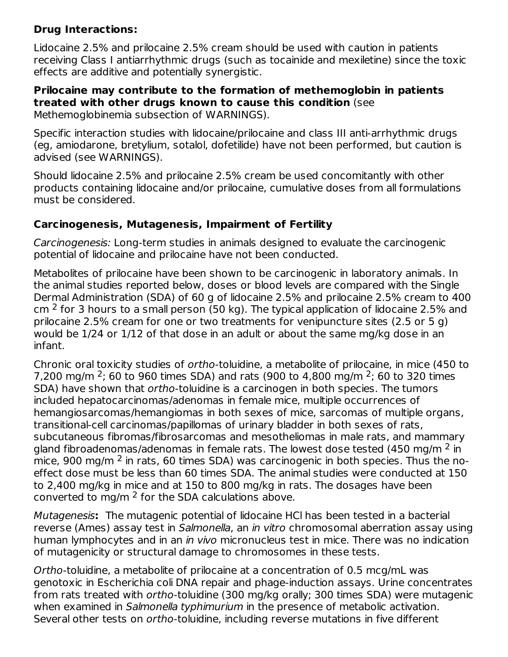## **Drug Interactions:**

Lidocaine 2.5% and prilocaine 2.5% cream should be used with caution in patients receiving Class I antiarrhythmic drugs (such as tocainide and mexiletine) since the toxic effects are additive and potentially synergistic.

#### **Prilocaine may contribute to the formation of methemoglobin in patients treated with other drugs known to cause this condition** (see Methemoglobinemia subsection of WARNINGS).

Specific interaction studies with lidocaine/prilocaine and class III anti-arrhythmic drugs (eg, amiodarone, bretylium, sotalol, dofetilide) have not been performed, but caution is advised (see WARNINGS).

Should lidocaine 2.5% and prilocaine 2.5% cream be used concomitantly with other products containing lidocaine and/or prilocaine, cumulative doses from all formulations must be considered.

## **Carcinogenesis, Mutagenesis, Impairment of Fertility**

Carcinogenesis: Long-term studies in animals designed to evaluate the carcinogenic potential of lidocaine and prilocaine have not been conducted.

Metabolites of prilocaine have been shown to be carcinogenic in laboratory animals. In the animal studies reported below, doses or blood levels are compared with the Single Dermal Administration (SDA) of 60 g of lidocaine 2.5% and prilocaine 2.5% cream to 400 cm  $^2$  for 3 hours to a small person (50 kg). The typical application of lidocaine 2.5% and prilocaine 2.5% cream for one or two treatments for venipuncture sites (2.5 or 5 g) would be 1/24 or 1/12 of that dose in an adult or about the same mg/kg dose in an infant.

Chronic oral toxicity studies of ortho-toluidine, a metabolite of prilocaine, in mice (450 to 7,200 mg/m <sup>2</sup>; 60 to 960 times SDA) and rats (900 to 4,800 mg/m <sup>2</sup>; 60 to 320 times SDA) have shown that ortho-toluidine is a carcinogen in both species. The tumors included hepatocarcinomas/adenomas in female mice, multiple occurrences of hemangiosarcomas/hemangiomas in both sexes of mice, sarcomas of multiple organs, transitional-cell carcinomas/papillomas of urinary bladder in both sexes of rats, subcutaneous fibromas/fibrosarcomas and mesotheliomas in male rats, and mammary gland fibroadenomas/adenomas in female rats. The lowest dose tested (450 mg/m  $^2$  in mice, 900 mg/m  $^2$  in rats, 60 times SDA) was carcinogenic in both species. Thus the noeffect dose must be less than 60 times SDA. The animal studies were conducted at 150 to 2,400 mg/kg in mice and at 150 to 800 mg/kg in rats. The dosages have been converted to mg/m  $^2$  for the SDA calculations above.

Mutagenesis**:** The mutagenic potential of lidocaine HCl has been tested in a bacterial reverse (Ames) assay test in Salmonella, an in vitro chromosomal aberration assay using human lymphocytes and in an *in vivo* micronucleus test in mice. There was no indication of mutagenicity or structural damage to chromosomes in these tests.

Ortho-toluidine, a metabolite of prilocaine at a concentration of 0.5 mcg/mL was genotoxic in Escherichia coli DNA repair and phage-induction assays. Urine concentrates from rats treated with ortho-toluidine (300 mg/kg orally; 300 times SDA) were mutagenic when examined in Salmonella typhimurium in the presence of metabolic activation. Several other tests on ortho-toluidine, including reverse mutations in five different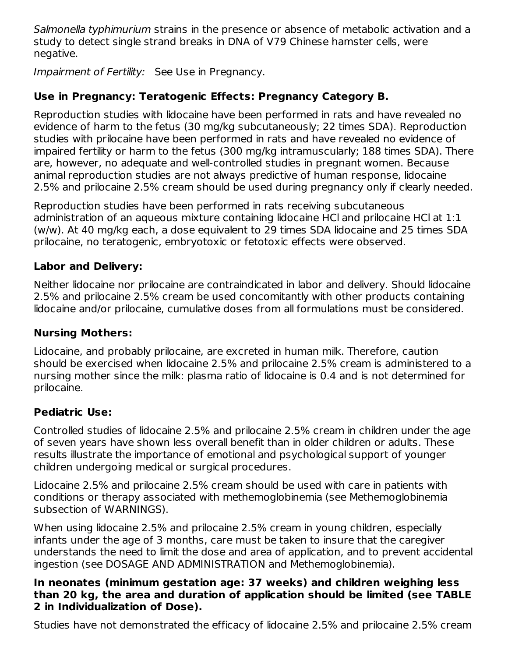Salmonella typhimurium strains in the presence or absence of metabolic activation and a study to detect single strand breaks in DNA of V79 Chinese hamster cells, were negative.

Impairment of Fertility: See Use in Pregnancy.

## **Use in Pregnancy: Teratogenic Effects: Pregnancy Category B.**

Reproduction studies with lidocaine have been performed in rats and have revealed no evidence of harm to the fetus (30 mg/kg subcutaneously; 22 times SDA). Reproduction studies with prilocaine have been performed in rats and have revealed no evidence of impaired fertility or harm to the fetus (300 mg/kg intramuscularly; 188 times SDA). There are, however, no adequate and well-controlled studies in pregnant women. Because animal reproduction studies are not always predictive of human response, lidocaine 2.5% and prilocaine 2.5% cream should be used during pregnancy only if clearly needed.

Reproduction studies have been performed in rats receiving subcutaneous administration of an aqueous mixture containing lidocaine HCl and prilocaine HCl at 1:1 (w/w). At 40 mg/kg each, a dose equivalent to 29 times SDA lidocaine and 25 times SDA prilocaine, no teratogenic, embryotoxic or fetotoxic effects were observed.

### **Labor and Delivery:**

Neither lidocaine nor prilocaine are contraindicated in labor and delivery. Should lidocaine 2.5% and prilocaine 2.5% cream be used concomitantly with other products containing lidocaine and/or prilocaine, cumulative doses from all formulations must be considered.

#### **Nursing Mothers:**

Lidocaine, and probably prilocaine, are excreted in human milk. Therefore, caution should be exercised when lidocaine 2.5% and prilocaine 2.5% cream is administered to a nursing mother since the milk: plasma ratio of lidocaine is 0.4 and is not determined for prilocaine.

## **Pediatric Use:**

Controlled studies of lidocaine 2.5% and prilocaine 2.5% cream in children under the age of seven years have shown less overall benefit than in older children or adults. These results illustrate the importance of emotional and psychological support of younger children undergoing medical or surgical procedures.

Lidocaine 2.5% and prilocaine 2.5% cream should be used with care in patients with conditions or therapy associated with methemoglobinemia (see Methemoglobinemia subsection of WARNINGS).

When using lidocaine 2.5% and prilocaine 2.5% cream in young children, especially infants under the age of 3 months, care must be taken to insure that the caregiver understands the need to limit the dose and area of application, and to prevent accidental ingestion (see DOSAGE AND ADMINISTRATION and Methemoglobinemia).

#### **In neonates (minimum gestation age: 37 weeks) and children weighing less than 20 kg, the area and duration of application should be limited (see TABLE 2 in Individualization of Dose).**

Studies have not demonstrated the efficacy of lidocaine 2.5% and prilocaine 2.5% cream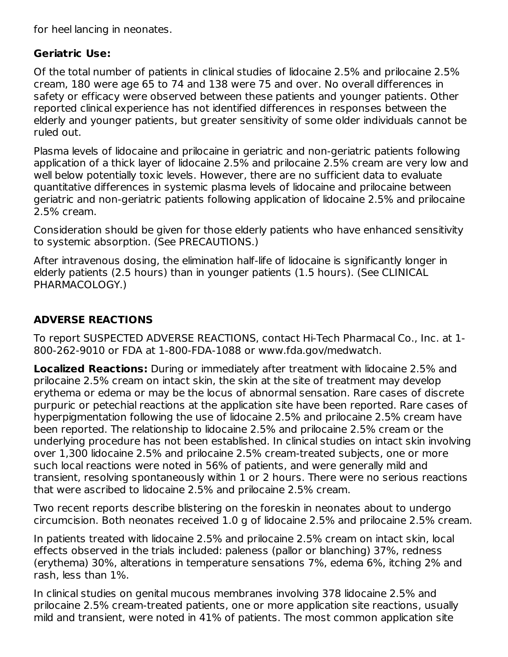for heel lancing in neonates.

## **Geriatric Use:**

Of the total number of patients in clinical studies of lidocaine 2.5% and prilocaine 2.5% cream, 180 were age 65 to 74 and 138 were 75 and over. No overall differences in safety or efficacy were observed between these patients and younger patients. Other reported clinical experience has not identified differences in responses between the elderly and younger patients, but greater sensitivity of some older individuals cannot be ruled out.

Plasma levels of lidocaine and prilocaine in geriatric and non-geriatric patients following application of a thick layer of lidocaine 2.5% and prilocaine 2.5% cream are very low and well below potentially toxic levels. However, there are no sufficient data to evaluate quantitative differences in systemic plasma levels of lidocaine and prilocaine between geriatric and non-geriatric patients following application of lidocaine 2.5% and prilocaine 2.5% cream.

Consideration should be given for those elderly patients who have enhanced sensitivity to systemic absorption. (See PRECAUTIONS.)

After intravenous dosing, the elimination half-life of lidocaine is significantly longer in elderly patients (2.5 hours) than in younger patients (1.5 hours). (See CLINICAL PHARMACOLOGY.)

## **ADVERSE REACTIONS**

To report SUSPECTED ADVERSE REACTIONS, contact Hi-Tech Pharmacal Co., Inc. at 1- 800-262-9010 or FDA at 1-800-FDA-1088 or www.fda.gov/medwatch.

**Localized Reactions:** During or immediately after treatment with lidocaine 2.5% and prilocaine 2.5% cream on intact skin, the skin at the site of treatment may develop erythema or edema or may be the locus of abnormal sensation. Rare cases of discrete purpuric or petechial reactions at the application site have been reported. Rare cases of hyperpigmentation following the use of lidocaine 2.5% and prilocaine 2.5% cream have been reported. The relationship to lidocaine 2.5% and prilocaine 2.5% cream or the underlying procedure has not been established. In clinical studies on intact skin involving over 1,300 lidocaine 2.5% and prilocaine 2.5% cream-treated subjects, one or more such local reactions were noted in 56% of patients, and were generally mild and transient, resolving spontaneously within 1 or 2 hours. There were no serious reactions that were ascribed to lidocaine 2.5% and prilocaine 2.5% cream.

Two recent reports describe blistering on the foreskin in neonates about to undergo circumcision. Both neonates received 1.0 g of lidocaine 2.5% and prilocaine 2.5% cream.

In patients treated with lidocaine 2.5% and prilocaine 2.5% cream on intact skin, local effects observed in the trials included: paleness (pallor or blanching) 37%, redness (erythema) 30%, alterations in temperature sensations 7%, edema 6%, itching 2% and rash, less than 1%.

In clinical studies on genital mucous membranes involving 378 lidocaine 2.5% and prilocaine 2.5% cream-treated patients, one or more application site reactions, usually mild and transient, were noted in 41% of patients. The most common application site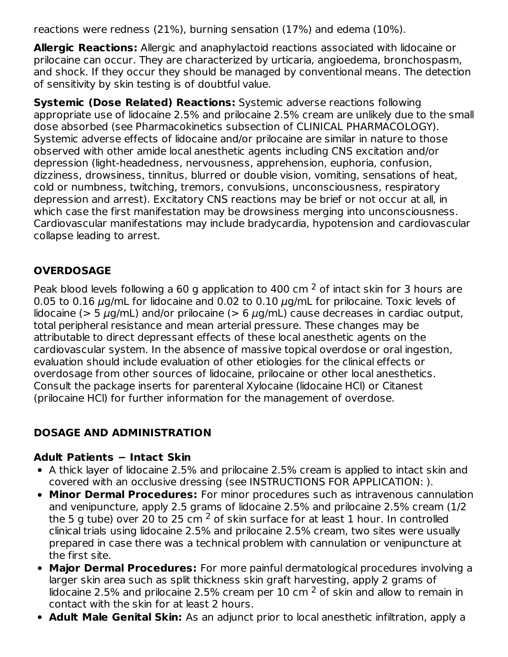reactions were redness (21%), burning sensation (17%) and edema (10%).

**Allergic Reactions:** Allergic and anaphylactoid reactions associated with lidocaine or prilocaine can occur. They are characterized by urticaria, angioedema, bronchospasm, and shock. If they occur they should be managed by conventional means. The detection of sensitivity by skin testing is of doubtful value.

**Systemic (Dose Related) Reactions:** Systemic adverse reactions following appropriate use of lidocaine 2.5% and prilocaine 2.5% cream are unlikely due to the small dose absorbed (see Pharmacokinetics subsection of CLINICAL PHARMACOLOGY). Systemic adverse effects of lidocaine and/or prilocaine are similar in nature to those observed with other amide local anesthetic agents including CNS excitation and/or depression (light-headedness, nervousness, apprehension, euphoria, confusion, dizziness, drowsiness, tinnitus, blurred or double vision, vomiting, sensations of heat, cold or numbness, twitching, tremors, convulsions, unconsciousness, respiratory depression and arrest). Excitatory CNS reactions may be brief or not occur at all, in which case the first manifestation may be drowsiness merging into unconsciousness. Cardiovascular manifestations may include bradycardia, hypotension and cardiovascular collapse leading to arrest.

## **OVERDOSAGE**

Peak blood levels following a 60 g application to 400 cm  $^2$  of intact skin for 3 hours are 0.05 to 0.16  $\mu$ g/mL for lidocaine and 0.02 to 0.10  $\mu$ g/mL for prilocaine. Toxic levels of lidocaine ( $> 5 \mu$ g/mL) and/or prilocaine ( $> 6 \mu$ g/mL) cause decreases in cardiac output, total peripheral resistance and mean arterial pressure. These changes may be attributable to direct depressant effects of these local anesthetic agents on the cardiovascular system. In the absence of massive topical overdose or oral ingestion, evaluation should include evaluation of other etiologies for the clinical effects or overdosage from other sources of lidocaine, prilocaine or other local anesthetics. Consult the package inserts for parenteral Xylocaine (lidocaine HCl) or Citanest (prilocaine HCl) for further information for the management of overdose.

## **DOSAGE AND ADMINISTRATION**

## **Adult Patients − Intact Skin**

- A thick layer of lidocaine 2.5% and prilocaine 2.5% cream is applied to intact skin and covered with an occlusive dressing (see INSTRUCTIONS FOR APPLICATION: ).
- **Minor Dermal Procedures:** For minor procedures such as intravenous cannulation and venipuncture, apply 2.5 grams of lidocaine 2.5% and prilocaine 2.5% cream (1/2 the 5 g tube) over 20 to 25 cm  $^2$  of skin surface for at least 1 hour. In controlled clinical trials using lidocaine 2.5% and prilocaine 2.5% cream, two sites were usually prepared in case there was a technical problem with cannulation or venipuncture at the first site.
- **Major Dermal Procedures:** For more painful dermatological procedures involving a larger skin area such as split thickness skin graft harvesting, apply 2 grams of lidocaine 2.5% and prilocaine 2.5% cream per 10 cm  $^2$  of skin and allow to remain in contact with the skin for at least 2 hours.
- **Adult Male Genital Skin:** As an adjunct prior to local anesthetic infiltration, apply a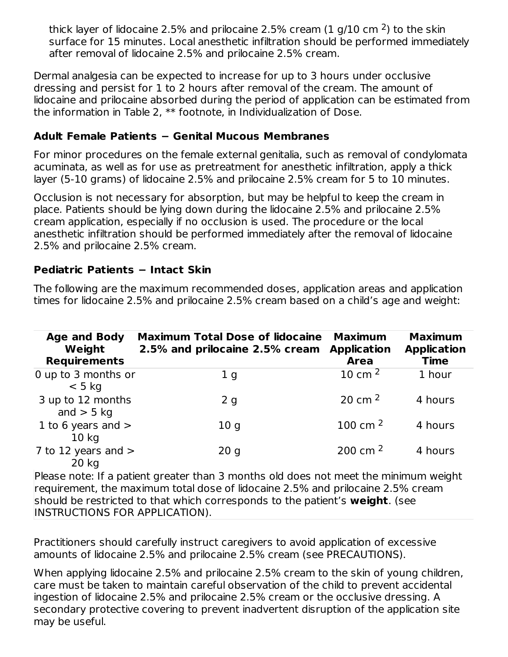thick layer of lidocaine 2.5% and prilocaine 2.5% cream (1 g/10 cm <sup>2</sup>) to the skin surface for 15 minutes. Local anesthetic infiltration should be performed immediately after removal of lidocaine 2.5% and prilocaine 2.5% cream.

Dermal analgesia can be expected to increase for up to 3 hours under occlusive dressing and persist for 1 to 2 hours after removal of the cream. The amount of lidocaine and prilocaine absorbed during the period of application can be estimated from the information in Table 2, \*\* footnote, in Individualization of Dose.

### **Adult Female Patients − Genital Mucous Membranes**

For minor procedures on the female external genitalia, such as removal of condylomata acuminata, as well as for use as pretreatment for anesthetic infiltration, apply a thick layer (5-10 grams) of lidocaine 2.5% and prilocaine 2.5% cream for 5 to 10 minutes.

Occlusion is not necessary for absorption, but may be helpful to keep the cream in place. Patients should be lying down during the lidocaine 2.5% and prilocaine 2.5% cream application, especially if no occlusion is used. The procedure or the local anesthetic infiltration should be performed immediately after the removal of lidocaine 2.5% and prilocaine 2.5% cream.

### **Pediatric Patients − Intact Skin**

The following are the maximum recommended doses, application areas and application times for lidocaine 2.5% and prilocaine 2.5% cream based on a child's age and weight:

| <b>Age and Body</b><br>Weight<br><b>Requirements</b> | <b>Maximum Total Dose of lidocaine</b><br>2.5% and prilocaine 2.5% cream | <b>Maximum</b><br><b>Application</b><br><b>Area</b> | <b>Maximum</b><br><b>Application</b><br><b>Time</b> |
|------------------------------------------------------|--------------------------------------------------------------------------|-----------------------------------------------------|-----------------------------------------------------|
| 0 up to 3 months or<br>$< 5$ kg                      | 1 <sub>g</sub>                                                           | 10 cm $^2$                                          | 1 hour                                              |
| 3 up to 12 months<br>and $>$ 5 kg                    | 2g                                                                       | 20 cm $2$                                           | 4 hours                                             |
| 1 to 6 years and $>$<br>10 <sub>kg</sub>             | 10q                                                                      | 100 cm $^2$                                         | 4 hours                                             |
| 7 to 12 years and $>$<br>$20$ kg                     | 20q                                                                      | 200 cm $^2$                                         | 4 hours                                             |

Please note: If a patient greater than 3 months old does not meet the minimum weight requirement, the maximum total dose of lidocaine 2.5% and prilocaine 2.5% cream should be restricted to that which corresponds to the patient's **weight**. (see INSTRUCTIONS FOR APPLICATION).

Practitioners should carefully instruct caregivers to avoid application of excessive amounts of lidocaine 2.5% and prilocaine 2.5% cream (see PRECAUTIONS).

When applying lidocaine 2.5% and prilocaine 2.5% cream to the skin of young children, care must be taken to maintain careful observation of the child to prevent accidental ingestion of lidocaine 2.5% and prilocaine 2.5% cream or the occlusive dressing. A secondary protective covering to prevent inadvertent disruption of the application site may be useful.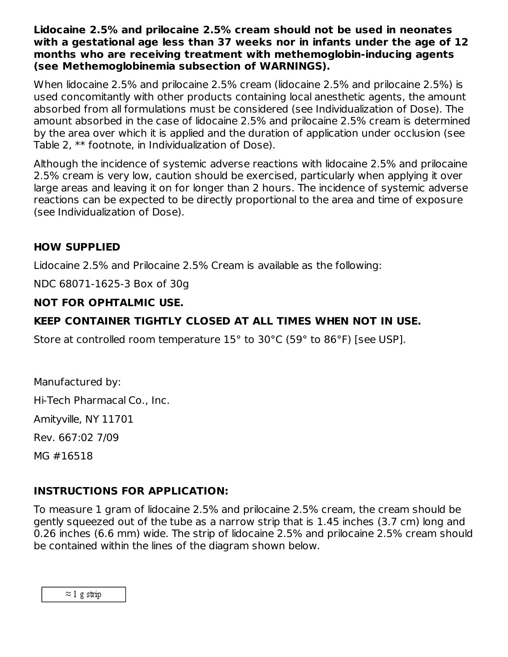**Lidocaine 2.5% and prilocaine 2.5% cream should not be used in neonates with a gestational age less than 37 weeks nor in infants under the age of 12 months who are receiving treatment with methemoglobin-inducing agents (see Methemoglobinemia subsection of WARNINGS).**

When lidocaine 2.5% and prilocaine 2.5% cream (lidocaine 2.5% and prilocaine 2.5%) is used concomitantly with other products containing local anesthetic agents, the amount absorbed from all formulations must be considered (see Individualization of Dose). The amount absorbed in the case of lidocaine 2.5% and prilocaine 2.5% cream is determined by the area over which it is applied and the duration of application under occlusion (see Table 2, \*\* footnote, in Individualization of Dose).

Although the incidence of systemic adverse reactions with lidocaine 2.5% and prilocaine 2.5% cream is very low, caution should be exercised, particularly when applying it over large areas and leaving it on for longer than 2 hours. The incidence of systemic adverse reactions can be expected to be directly proportional to the area and time of exposure (see Individualization of Dose).

#### **HOW SUPPLIED**

Lidocaine 2.5% and Prilocaine 2.5% Cream is available as the following:

NDC 68071-1625-3 Box of 30g

#### **NOT FOR OPHTALMIC USE.**

#### **KEEP CONTAINER TIGHTLY CLOSED AT ALL TIMES WHEN NOT IN USE.**

Store at controlled room temperature 15° to 30°C (59° to 86°F) [see USP].

Manufactured by: Hi-Tech Pharmacal Co., Inc. Amityville, NY 11701 Rev. 667:02 7/09 MG #16518

#### **INSTRUCTIONS FOR APPLICATION:**

To measure 1 gram of lidocaine 2.5% and prilocaine 2.5% cream, the cream should be gently squeezed out of the tube as a narrow strip that is 1.45 inches (3.7 cm) long and 0.26 inches (6.6 mm) wide. The strip of lidocaine 2.5% and prilocaine 2.5% cream should be contained within the lines of the diagram shown below.

 $\approx$  1 g strip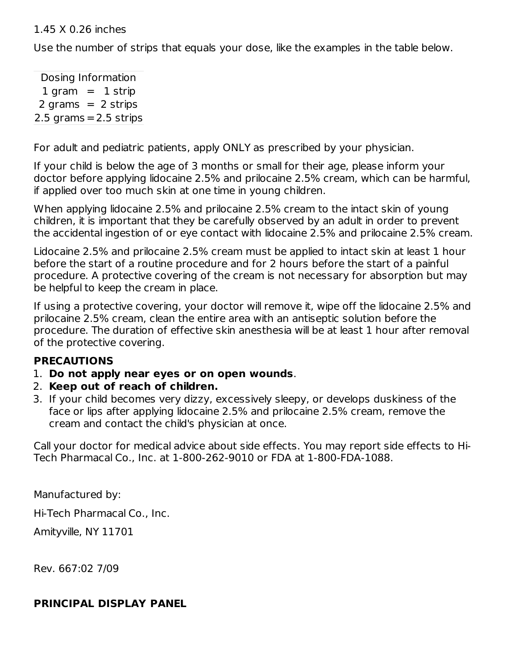#### 1.45 X 0.26 inches

Use the number of strips that equals your dose, like the examples in the table below.

Dosing Information  $1$  gram  $= 1$  strip  $2 \text{ grams} = 2 \text{ strips}$  $2.5$  grams  $= 2.5$  strips

For adult and pediatric patients, apply ONLY as prescribed by your physician.

If your child is below the age of 3 months or small for their age, please inform your doctor before applying lidocaine 2.5% and prilocaine 2.5% cream, which can be harmful, if applied over too much skin at one time in young children.

When applying lidocaine 2.5% and prilocaine 2.5% cream to the intact skin of young children, it is important that they be carefully observed by an adult in order to prevent the accidental ingestion of or eye contact with lidocaine 2.5% and prilocaine 2.5% cream.

Lidocaine 2.5% and prilocaine 2.5% cream must be applied to intact skin at least 1 hour before the start of a routine procedure and for 2 hours before the start of a painful procedure. A protective covering of the cream is not necessary for absorption but may be helpful to keep the cream in place.

If using a protective covering, your doctor will remove it, wipe off the lidocaine 2.5% and prilocaine 2.5% cream, clean the entire area with an antiseptic solution before the procedure. The duration of effective skin anesthesia will be at least 1 hour after removal of the protective covering.

## **PRECAUTIONS**

- 1. **Do not apply near eyes or on open wounds**.
- 2. **Keep out of reach of children.**
- 3. If your child becomes very dizzy, excessively sleepy, or develops duskiness of the face or lips after applying lidocaine 2.5% and prilocaine 2.5% cream, remove the cream and contact the child's physician at once.

Call your doctor for medical advice about side effects. You may report side effects to Hi-Tech Pharmacal Co., Inc. at 1-800-262-9010 or FDA at 1-800-FDA-1088.

Manufactured by:

Hi-Tech Pharmacal Co., Inc.

Amityville, NY 11701

Rev. 667:02 7/09

## **PRINCIPAL DISPLAY PANEL**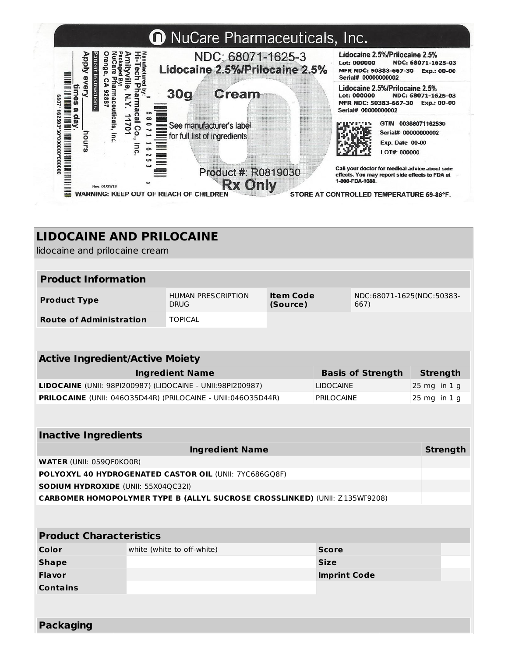

| <b>LIDOCAINE AND PRILOCAINE</b>                        |                            |                                                                                                               |              |                     |                          |                  |  |  |
|--------------------------------------------------------|----------------------------|---------------------------------------------------------------------------------------------------------------|--------------|---------------------|--------------------------|------------------|--|--|
| lidocaine and prilocaine cream                         |                            |                                                                                                               |              |                     |                          |                  |  |  |
|                                                        |                            |                                                                                                               |              |                     |                          |                  |  |  |
|                                                        | <b>Product Information</b> |                                                                                                               |              |                     |                          |                  |  |  |
| <b>Product Type</b>                                    |                            | <b>Item Code</b><br><b>HUMAN PRESCRIPTION</b><br>NDC:68071-1625(NDC:50383-<br><b>DRUG</b><br>(Source)<br>667) |              |                     |                          |                  |  |  |
| <b>Route of Administration</b>                         |                            | <b>TOPICAL</b>                                                                                                |              |                     |                          |                  |  |  |
|                                                        |                            |                                                                                                               |              |                     |                          |                  |  |  |
| <b>Active Ingredient/Active Moiety</b>                 |                            |                                                                                                               |              |                     |                          |                  |  |  |
|                                                        |                            | <b>Ingredient Name</b>                                                                                        |              |                     | <b>Basis of Strength</b> | <b>Strength</b>  |  |  |
|                                                        |                            | LIDOCAINE (UNII: 98PI200987) (LIDOCAINE - UNII:98PI200987)                                                    |              | <b>LIDOCAINE</b>    |                          | 25 mg in 1 g     |  |  |
|                                                        |                            | PRILOCAINE (UNII: 046035D44R) (PRILOCAINE - UNII:046035D44R)                                                  |              | <b>PRILOCAINE</b>   |                          | $25$ mg in $1$ g |  |  |
|                                                        |                            |                                                                                                               |              |                     |                          |                  |  |  |
| <b>Inactive Ingredients</b>                            |                            |                                                                                                               |              |                     |                          |                  |  |  |
| <b>Ingredient Name</b><br><b>Strength</b>              |                            |                                                                                                               |              |                     |                          |                  |  |  |
| <b>WATER (UNII: 059QF0KO0R)</b>                        |                            |                                                                                                               |              |                     |                          |                  |  |  |
| POLYOXYL 40 HYDROGENATED CASTOR OIL (UNII: 7YC686GQ8F) |                            |                                                                                                               |              |                     |                          |                  |  |  |
| SODIUM HYDROXIDE (UNII: 55X04QC32I)                    |                            |                                                                                                               |              |                     |                          |                  |  |  |
|                                                        |                            | <b>CARBOMER HOMOPOLYMER TYPE B (ALLYL SUCROSE CROSSLINKED) (UNII: Z135WT9208)</b>                             |              |                     |                          |                  |  |  |
|                                                        |                            |                                                                                                               |              |                     |                          |                  |  |  |
| <b>Product Characteristics</b>                         |                            |                                                                                                               |              |                     |                          |                  |  |  |
| Color                                                  | white (white to off-white) |                                                                                                               | <b>Score</b> |                     |                          |                  |  |  |
| <b>Shape</b>                                           |                            |                                                                                                               |              | <b>Size</b>         |                          |                  |  |  |
| <b>Flavor</b>                                          |                            |                                                                                                               |              | <b>Imprint Code</b> |                          |                  |  |  |
| <b>Contains</b>                                        |                            |                                                                                                               |              |                     |                          |                  |  |  |
|                                                        |                            |                                                                                                               |              |                     |                          |                  |  |  |
|                                                        |                            |                                                                                                               |              |                     |                          |                  |  |  |
| <b>Packaging</b>                                       |                            |                                                                                                               |              |                     |                          |                  |  |  |